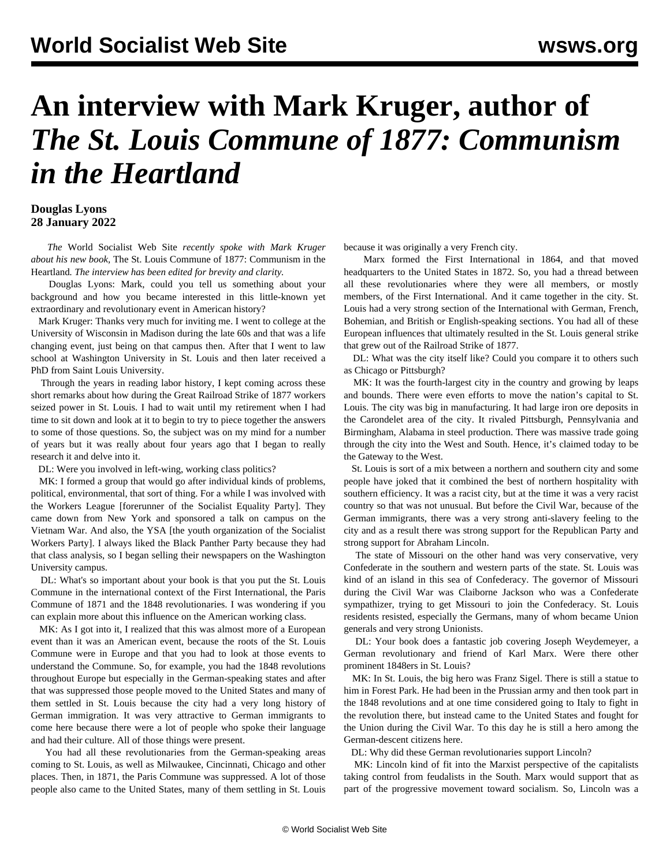## **An interview with Mark Kruger, author of**  *The St. Louis Commune of 1877: Communism in the Heartland*

## **Douglas Lyons 28 January 2022**

 *The* World Socialist Web Site *recently spoke with Mark Kruger about [his new book,](/en/articles/2022/01/04/stlo-j04.html)* The St. Louis Commune of 1877: Communism in the Heartland*. The interview has been edited for brevity and clarity.*

 Douglas Lyons: Mark, could you tell us something about your background and how you became interested in this little-known yet extraordinary and revolutionary event in American history?

 Mark Kruger: Thanks very much for inviting me. I went to college at the University of Wisconsin in Madison during the late 60s and that was a life changing event, just being on that campus then. After that I went to law school at Washington University in St. Louis and then later received a PhD from Saint Louis University.

 Through the years in reading labor history, I kept coming across these short remarks about how during the Great Railroad Strike of 1877 workers seized power in St. Louis. I had to wait until my retirement when I had time to sit down and look at it to begin to try to piece together the answers to some of those questions. So, the subject was on my mind for a number of years but it was really about four years ago that I began to really research it and delve into it.

DL: Were you involved in left-wing, working class politics?

 MK: I formed a group that would go after individual kinds of problems, political, environmental, that sort of thing. For a while I was involved with the Workers League [forerunner of the Socialist Equality Party]. They came down from New York and sponsored a talk on campus on the Vietnam War. And also, the YSA [the youth organization of the Socialist Workers Party]. I always liked the Black Panther Party because they had that class analysis, so I began selling their newspapers on the Washington University campus.

 DL: What's so important about your book is that you put the St. Louis Commune in the international context of the First International, the Paris Commune of 1871 and the 1848 revolutionaries. I was wondering if you can explain more about this influence on the American working class.

MK: As I got into it, I realized that this was almost more of a European event than it was an American event, because the roots of the St. Louis Commune were in Europe and that you had to look at those events to understand the Commune. So, for example, you had the 1848 revolutions throughout Europe but especially in the German-speaking states and after that was suppressed those people moved to the United States and many of them settled in St. Louis because the city had a very long history of German immigration. It was very attractive to German immigrants to come here because there were a lot of people who spoke their language and had their culture. All of those things were present.

 You had all these revolutionaries from the German-speaking areas coming to St. Louis, as well as Milwaukee, Cincinnati, Chicago and other places. Then, in 1871, the Paris Commune was suppressed. A lot of those people also came to the United States, many of them settling in St. Louis because it was originally a very French city.

 Marx formed the First International in 1864, and that moved headquarters to the United States in 1872. So, you had a thread between all these revolutionaries where they were all members, or mostly members, of the First International. And it came together in the city. St. Louis had a very strong section of the International with German, French, Bohemian, and British or English-speaking sections. You had all of these European influences that ultimately resulted in the St. Louis general strike that grew out of the Railroad Strike of 1877.

 DL: What was the city itself like? Could you compare it to others such as Chicago or Pittsburgh?

 MK: It was the fourth-largest city in the country and growing by leaps and bounds. There were even efforts to move the nation's capital to St. Louis. The city was big in manufacturing. It had large iron ore deposits in the Carondelet area of the city. It rivaled Pittsburgh, Pennsylvania and Birmingham, Alabama in steel production. There was massive trade going through the city into the West and South. Hence, it's claimed today to be the Gateway to the West.

 St. Louis is sort of a mix between a northern and southern city and some people have joked that it combined the best of northern hospitality with southern efficiency. It was a racist city, but at the time it was a very racist country so that was not unusual. But before the Civil War, because of the German immigrants, there was a very strong anti-slavery feeling to the city and as a result there was strong support for the Republican Party and strong support for Abraham Lincoln.

 The state of Missouri on the other hand was very conservative, very Confederate in the southern and western parts of the state. St. Louis was kind of an island in this sea of Confederacy. The governor of Missouri during the Civil War was Claiborne Jackson who was a Confederate sympathizer, trying to get Missouri to join the Confederacy. St. Louis residents resisted, especially the Germans, many of whom became Union generals and very strong Unionists.

 DL: Your book does a fantastic job covering Joseph Weydemeyer, a German revolutionary and friend of Karl Marx. Were there other prominent 1848ers in St. Louis?

 MK: In St. Louis, the big hero was Franz Sigel. There is still a statue to him in Forest Park. He had been in the Prussian army and then took part in the 1848 revolutions and at one time considered going to Italy to fight in the revolution there, but instead came to the United States and fought for the Union during the Civil War. To this day he is still a hero among the German-descent citizens here.

DL: Why did these German revolutionaries support Lincoln?

 MK: Lincoln kind of fit into the Marxist perspective of the capitalists taking control from feudalists in the South. Marx would support that as part of the progressive movement toward socialism. So, Lincoln was a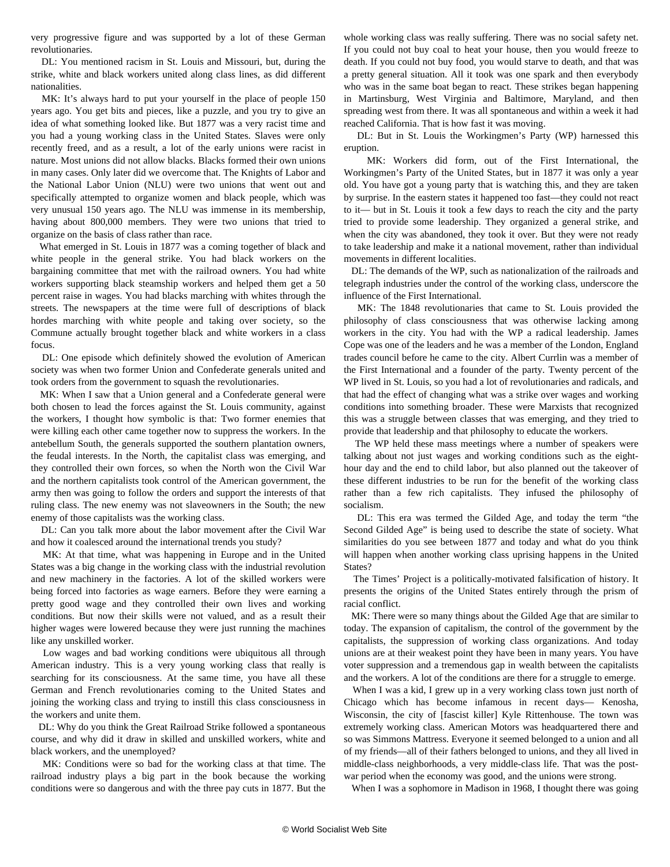very progressive figure and was supported by a lot of these German revolutionaries.

 DL: You mentioned racism in St. Louis and Missouri, but, during the strike, white and black workers united along class lines, as did different nationalities.

MK: It's always hard to put your yourself in the place of people 150 years ago. You get bits and pieces, like a puzzle, and you try to give an idea of what something looked like. But 1877 was a very racist time and you had a young working class in the United States. Slaves were only recently freed, and as a result, a lot of the early unions were racist in nature. Most unions did not allow blacks. Blacks formed their own unions in many cases. Only later did we overcome that. The Knights of Labor and the National Labor Union (NLU) were two unions that went out and specifically attempted to organize women and black people, which was very unusual 150 years ago. The NLU was immense in its membership, having about 800,000 members. They were two unions that tried to organize on the basis of class rather than race.

 What emerged in St. Louis in 1877 was a coming together of black and white people in the general strike. You had black workers on the bargaining committee that met with the railroad owners. You had white workers supporting black steamship workers and helped them get a 50 percent raise in wages. You had blacks marching with whites through the streets. The newspapers at the time were full of descriptions of black hordes marching with white people and taking over society, so the Commune actually brought together black and white workers in a class focus.

 DL: One episode which definitely showed the evolution of American society was when two former Union and Confederate generals united and took orders from the government to squash the revolutionaries.

 MK: When I saw that a Union general and a Confederate general were both chosen to lead the forces against the St. Louis community, against the workers, I thought how symbolic is that: Two former enemies that were killing each other came together now to suppress the workers. In the antebellum South, the generals supported the southern plantation owners, the feudal interests. In the North, the capitalist class was emerging, and they controlled their own forces, so when the North won the Civil War and the northern capitalists took control of the American government, the army then was going to follow the orders and support the interests of that ruling class. The new enemy was not slaveowners in the South; the new enemy of those capitalists was the working class.

 DL: Can you talk more about the labor movement after the Civil War and how it coalesced around the international trends you study?

 MK: At that time, what was happening in Europe and in the United States was a big change in the working class with the industrial revolution and new machinery in the factories. A lot of the skilled workers were being forced into factories as wage earners. Before they were earning a pretty good wage and they controlled their own lives and working conditions. But now their skills were not valued, and as a result their higher wages were lowered because they were just running the machines like any unskilled worker.

 Low wages and bad working conditions were ubiquitous all through American industry. This is a very young working class that really is searching for its consciousness. At the same time, you have all these German and French revolutionaries coming to the United States and joining the working class and trying to instill this class consciousness in the workers and unite them.

 DL: Why do you think the Great Railroad Strike followed a spontaneous course, and why did it draw in skilled and unskilled workers, white and black workers, and the unemployed?

 MK: Conditions were so bad for the working class at that time. The railroad industry plays a big part in the book because the working conditions were so dangerous and with the three pay cuts in 1877. But the whole working class was really suffering. There was no social safety net. If you could not buy coal to heat your house, then you would freeze to death. If you could not buy food, you would starve to death, and that was a pretty general situation. All it took was one spark and then everybody who was in the same boat began to react. These strikes began happening in Martinsburg, West Virginia and Baltimore, Maryland, and then spreading west from there. It was all spontaneous and within a week it had reached California. That is how fast it was moving.

 DL: But in St. Louis the Workingmen's Party (WP) harnessed this eruption.

 MK: Workers did form, out of the First International, the Workingmen's Party of the United States, but in 1877 it was only a year old. You have got a young party that is watching this, and they are taken by surprise. In the eastern states it happened too fast—they could not react to it— but in St. Louis it took a few days to reach the city and the party tried to provide some leadership. They organized a general strike, and when the city was abandoned, they took it over. But they were not ready to take leadership and make it a national movement, rather than individual movements in different localities.

 DL: The demands of the WP, such as nationalization of the railroads and telegraph industries under the control of the working class, underscore the influence of the First International.

 MK: The 1848 revolutionaries that came to St. Louis provided the philosophy of class consciousness that was otherwise lacking among workers in the city. You had with the WP a radical leadership. James Cope was one of the leaders and he was a member of the London, England trades council before he came to the city. Albert Currlin was a member of the First International and a founder of the party. Twenty percent of the WP lived in St. Louis, so you had a lot of revolutionaries and radicals, and that had the effect of changing what was a strike over wages and working conditions into something broader. These were Marxists that recognized this was a struggle between classes that was emerging, and they tried to provide that leadership and that philosophy to educate the workers.

 The WP held these mass meetings where a number of speakers were talking about not just wages and working conditions such as the eighthour day and the end to child labor, but also planned out the takeover of these different industries to be run for the benefit of the working class rather than a few rich capitalists. They infused the philosophy of socialism.

 DL: This era was termed the Gilded Age, and today the term "the Second Gilded Age" is being used to describe the state of society. What similarities do you see between 1877 and today and what do you think will happen when another working class uprising happens in the United States?

 The Times' Project is a politically-motivated falsification of history. It presents the origins of the United States entirely through the prism of racial conflict.

 MK: There were so many things about the Gilded Age that are similar to today. The expansion of capitalism, the control of the government by the capitalists, the suppression of working class organizations. And today unions are at their weakest point they have been in many years. You have voter suppression and a tremendous gap in wealth between the capitalists and the workers. A lot of the conditions are there for a struggle to emerge.

 When I was a kid, I grew up in a very working class town just north of Chicago which has become infamous in recent days— Kenosha, Wisconsin, the city of [fascist killer] Kyle Rittenhouse. The town was extremely working class. American Motors was headquartered there and so was Simmons Mattress. Everyone it seemed belonged to a union and all of my friends—all of their fathers belonged to unions, and they all lived in middle-class neighborhoods, a very middle-class life. That was the postwar period when the economy was good, and the unions were strong.

When I was a sophomore in Madison in 1968, I thought there was going